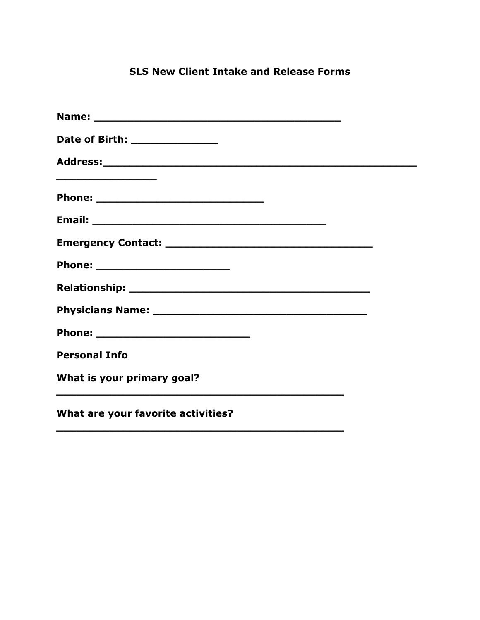# **SLS New Client Intake and Release Forms**

| Date of Birth: ________________                   |
|---------------------------------------------------|
|                                                   |
| <u> 1989 - Johann John Stein, markin sanadi a</u> |
|                                                   |
|                                                   |
| Phone: ___________________________                |
|                                                   |
|                                                   |
|                                                   |
| <b>Personal Info</b>                              |
| What is your primary goal?                        |
| What are your favorite activities?                |

**\_\_\_\_\_\_\_\_\_\_\_\_\_\_\_\_\_\_\_\_\_\_\_\_\_\_\_\_\_\_\_\_\_\_\_\_\_\_\_\_\_\_\_**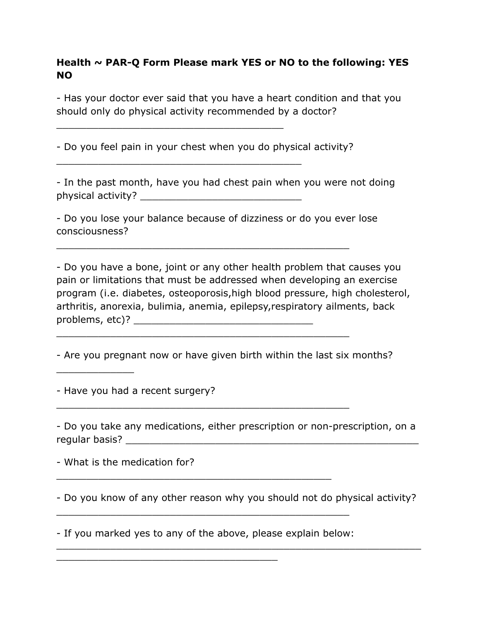# **Health ~ PAR-Q Form Please mark YES or NO to the following: YES NO**

- Has your doctor ever said that you have a heart condition and that you should only do physical activity recommended by a doctor?

- Do you feel pain in your chest when you do physical activity?

\_\_\_\_\_\_\_\_\_\_\_\_\_\_\_\_\_\_\_\_\_\_\_\_\_\_\_\_\_\_\_\_\_\_\_\_\_\_

\_\_\_\_\_\_\_\_\_\_\_\_\_\_\_\_\_\_\_\_\_\_\_\_\_\_\_\_\_\_\_\_\_\_\_\_\_\_\_\_\_

- In the past month, have you had chest pain when you were not doing physical activity? \_\_\_\_\_\_\_\_\_\_\_\_\_\_\_\_\_\_\_\_\_\_\_\_\_\_\_

- Do you lose your balance because of dizziness or do you ever lose consciousness?

\_\_\_\_\_\_\_\_\_\_\_\_\_\_\_\_\_\_\_\_\_\_\_\_\_\_\_\_\_\_\_\_\_\_\_\_\_\_\_\_\_\_\_\_\_\_\_\_\_

\_\_\_\_\_\_\_\_\_\_\_\_\_\_\_\_\_\_\_\_\_\_\_\_\_\_\_\_\_\_\_\_\_\_\_\_\_\_\_\_\_\_\_\_\_\_\_\_\_

\_\_\_\_\_\_\_\_\_\_\_\_\_\_\_\_\_\_\_\_\_\_\_\_\_\_\_\_\_\_\_\_\_\_\_\_\_\_\_\_\_\_\_\_\_\_\_\_\_

- Do you have a bone, joint or any other health problem that causes you pain or limitations that must be addressed when developing an exercise program (i.e. diabetes, osteoporosis,high blood pressure, high cholesterol, arthritis, anorexia, bulimia, anemia, epilepsy,respiratory ailments, back problems, etc)? \_\_\_\_\_\_\_\_\_\_\_\_\_\_\_\_\_\_\_\_\_\_\_\_\_\_\_\_\_\_

- Are you pregnant now or have given birth within the last six months?

- Have you had a recent surgery?

\_\_\_\_\_\_\_\_\_\_\_\_\_

- Do you take any medications, either prescription or non-prescription, on a regular basis? \_\_\_\_\_\_\_\_\_\_\_\_\_\_\_\_\_\_\_\_\_\_\_\_\_\_\_\_\_\_\_\_\_\_\_\_\_\_\_\_\_\_\_\_\_\_\_\_\_

- What is the medication for?

- Do you know of any other reason why you should not do physical activity?

\_\_\_\_\_\_\_\_\_\_\_\_\_\_\_\_\_\_\_\_\_\_\_\_\_\_\_\_\_\_\_\_\_\_\_\_\_\_\_\_\_\_\_\_\_\_\_\_\_\_\_\_\_\_\_\_\_\_\_\_\_

- If you marked yes to any of the above, please explain below:

\_\_\_\_\_\_\_\_\_\_\_\_\_\_\_\_\_\_\_\_\_\_\_\_\_\_\_\_\_\_\_\_\_\_\_\_\_

\_\_\_\_\_\_\_\_\_\_\_\_\_\_\_\_\_\_\_\_\_\_\_\_\_\_\_\_\_\_\_\_\_\_\_\_\_\_\_\_\_\_\_\_\_\_\_\_\_

\_\_\_\_\_\_\_\_\_\_\_\_\_\_\_\_\_\_\_\_\_\_\_\_\_\_\_\_\_\_\_\_\_\_\_\_\_\_\_\_\_\_\_\_\_\_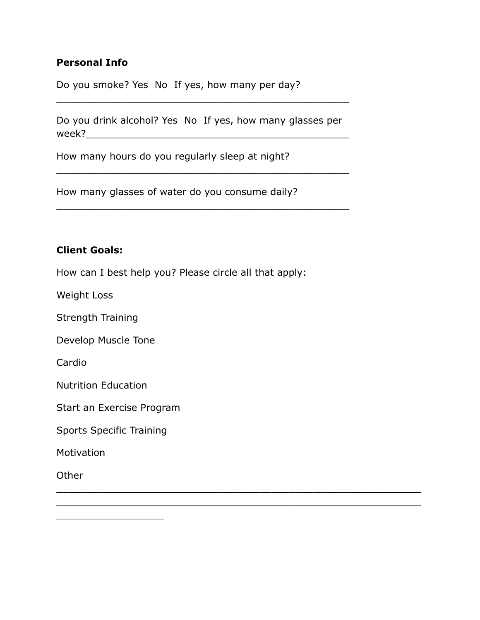## **Personal Info**

Do you smoke? Yes No If yes, how many per day?

Do you drink alcohol? Yes No If yes, how many glasses per week?\_\_\_\_\_\_\_\_\_\_\_\_\_\_\_\_\_\_\_\_\_\_\_\_\_\_\_\_\_\_\_\_\_\_\_\_\_\_\_\_\_\_\_\_

\_\_\_\_\_\_\_\_\_\_\_\_\_\_\_\_\_\_\_\_\_\_\_\_\_\_\_\_\_\_\_\_\_\_\_\_\_\_\_\_\_\_\_\_\_\_\_\_\_

\_\_\_\_\_\_\_\_\_\_\_\_\_\_\_\_\_\_\_\_\_\_\_\_\_\_\_\_\_\_\_\_\_\_\_\_\_\_\_\_\_\_\_\_\_\_\_\_\_

\_\_\_\_\_\_\_\_\_\_\_\_\_\_\_\_\_\_\_\_\_\_\_\_\_\_\_\_\_\_\_\_\_\_\_\_\_\_\_\_\_\_\_\_\_\_\_\_\_\_\_\_\_\_\_\_\_\_\_\_\_

\_\_\_\_\_\_\_\_\_\_\_\_\_\_\_\_\_\_\_\_\_\_\_\_\_\_\_\_\_\_\_\_\_\_\_\_\_\_\_\_\_\_\_\_\_\_\_\_\_

How many hours do you regularly sleep at night?

How many glasses of water do you consume daily?

#### **Client Goals:**

How can I best help you? Please circle all that apply:

Weight Loss

Strength Training

Develop Muscle Tone

Cardio

Nutrition Education

Start an Exercise Program

Sports Specific Training

**Motivation** 

**Other** 

\_\_\_\_\_\_\_\_\_\_\_\_\_\_\_\_\_\_\_\_\_\_\_\_\_\_\_\_\_\_\_\_\_\_\_\_\_\_\_\_\_\_\_\_\_\_\_\_\_\_\_\_\_\_\_\_\_\_\_\_\_ \_\_\_\_\_\_\_\_\_\_\_\_\_\_\_\_\_\_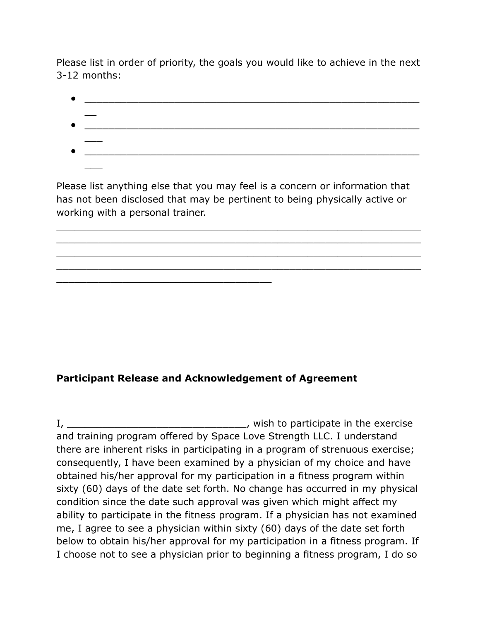Please list in order of priority, the goals you would like to achieve in the next 3-12 months:

● \_\_\_\_\_\_\_\_\_\_\_\_\_\_\_\_\_\_\_\_\_\_\_\_\_\_\_\_\_\_\_\_\_\_\_\_\_\_\_\_\_\_\_\_\_\_\_\_\_\_\_\_\_\_\_\_  $\overline{\phantom{a}}$ ● \_\_\_\_\_\_\_\_\_\_\_\_\_\_\_\_\_\_\_\_\_\_\_\_\_\_\_\_\_\_\_\_\_\_\_\_\_\_\_\_\_\_\_\_\_\_\_\_\_\_\_\_\_\_\_\_  $\overline{\phantom{a}}$  $\overline{\phantom{a}}$ 

Please list anything else that you may feel is a concern or information that has not been disclosed that may be pertinent to being physically active or working with a personal trainer.

\_\_\_\_\_\_\_\_\_\_\_\_\_\_\_\_\_\_\_\_\_\_\_\_\_\_\_\_\_\_\_\_\_\_\_\_\_\_\_\_\_\_\_\_\_\_\_\_\_\_\_\_\_\_\_\_\_\_\_\_\_ \_\_\_\_\_\_\_\_\_\_\_\_\_\_\_\_\_\_\_\_\_\_\_\_\_\_\_\_\_\_\_\_\_\_\_\_\_\_\_\_\_\_\_\_\_\_\_\_\_\_\_\_\_\_\_\_\_\_\_\_\_ \_\_\_\_\_\_\_\_\_\_\_\_\_\_\_\_\_\_\_\_\_\_\_\_\_\_\_\_\_\_\_\_\_\_\_\_\_\_\_\_\_\_\_\_\_\_\_\_\_\_\_\_\_\_\_\_\_\_\_\_\_ \_\_\_\_\_\_\_\_\_\_\_\_\_\_\_\_\_\_\_\_\_\_\_\_\_\_\_\_\_\_\_\_\_\_\_\_\_\_\_\_\_\_\_\_\_\_\_\_\_\_\_\_\_\_\_\_\_\_\_\_\_

# **Participant Release and Acknowledgement of Agreement**

\_\_\_\_\_\_\_\_\_\_\_\_\_\_\_\_\_\_\_\_\_\_\_\_\_\_\_\_\_\_\_\_\_\_\_\_

I, \_\_\_\_\_\_\_\_\_\_\_\_\_\_\_\_\_\_\_\_\_\_\_\_\_\_\_\_\_\_, wish to participate in the exercise and training program offered by Space Love Strength LLC. I understand there are inherent risks in participating in a program of strenuous exercise; consequently, I have been examined by a physician of my choice and have obtained his/her approval for my participation in a fitness program within sixty (60) days of the date set forth. No change has occurred in my physical condition since the date such approval was given which might affect my ability to participate in the fitness program. If a physician has not examined me, I agree to see a physician within sixty (60) days of the date set forth below to obtain his/her approval for my participation in a fitness program. If I choose not to see a physician prior to beginning a fitness program, I do so